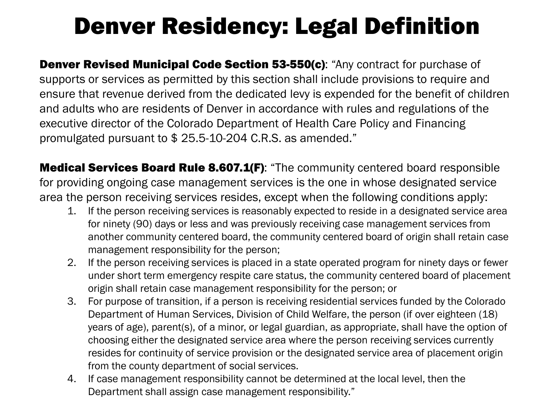## Denver Residency: Legal Definition

**Denver Revised Municipal Code Section 53-550(c):** "Any contract for purchase of supports or services as permitted by this section shall include provisions to require and ensure that revenue derived from the dedicated levy is expended for the benefit of children and adults who are residents of Denver in accordance with rules and regulations of the executive director of the Colorado Department of Health Care Policy and Financing promulgated pursuant to \$ 25.5-10-204 C.R.S. as amended."

**Medical Services Board Rule 8.607.1(F):** "The community centered board responsible for providing ongoing case management services is the one in whose designated service area the person receiving services resides, except when the following conditions apply:

- 1. If the person receiving services is reasonably expected to reside in a designated service area for ninety (90) days or less and was previously receiving case management services from another community centered board, the community centered board of origin shall retain case management responsibility for the person;
- 2. If the person receiving services is placed in a state operated program for ninety days or fewer under short term emergency respite care status, the community centered board of placement origin shall retain case management responsibility for the person; or
- 3. For purpose of transition, if a person is receiving residential services funded by the Colorado Department of Human Services, Division of Child Welfare, the person (if over eighteen (18) years of age), parent(s), of a minor, or legal guardian, as appropriate, shall have the option of choosing either the designated service area where the person receiving services currently resides for continuity of service provision or the designated service area of placement origin from the county department of social services.
- 4. If case management responsibility cannot be determined at the local level, then the Department shall assign case management responsibility."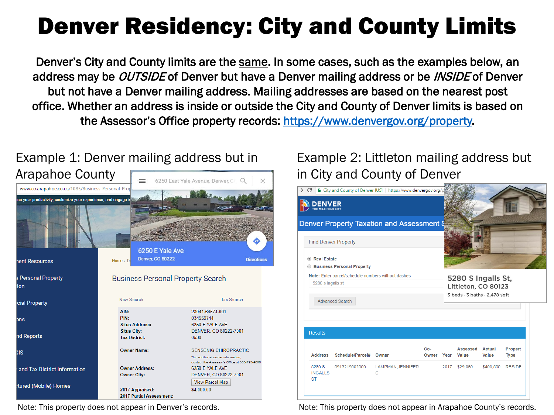# Denver Residency: City and County Limits

Denver's City and County limits are the same. In some cases, such as the examples below, an address may be *OUTSIDE* of Denver but have a Denver mailing address or be *INSIDE* of Denver but not have a Denver mailing address. Mailing addresses are based on the nearest post office. Whether an address is inside or outside the City and County of Denver limits is based on the Assessor's Office property records: [https://www.denvergov.org/property.](https://www.denvergov.org/property)

### Example 1: Denver mailing address but in



#### Example 2: Littleton mailing address but in City and County of Denver



Note: This property does not appear in Denver's records. Note: This property does not appear in Arapahoe County's records.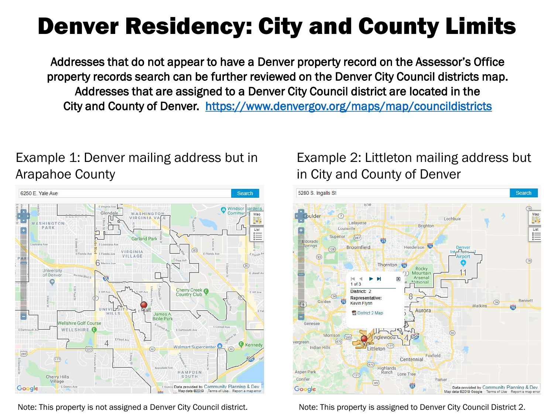### Denver Residency: City and County Limits

Addresses that do not appear to have a Denver property record on the Assessor's Office property records search can be further reviewed on the Denver City Council districts map. Addresses that are assigned to a Denver City Council district are located in the City and County of Denver. <https://www.denvergov.org/maps/map/councildistricts>

#### Example 1: Denver mailing address but in Arapahoe County



Note: This property is not assigned a Denver City Council district. Note: This property is assigned to Denver City Council District 2.

#### Example 2: Littleton mailing address but in City and County of Denver

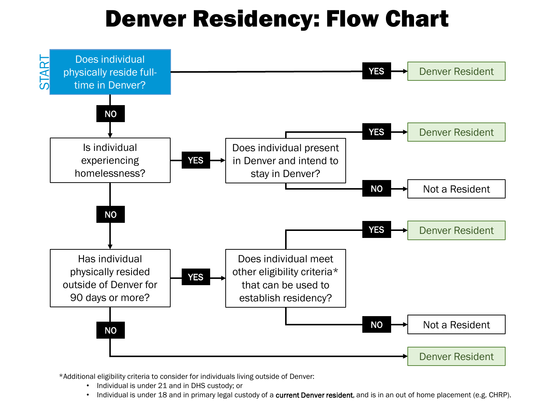### Denver Residency: Flow Chart



\*Additional eligibility criteria to consider for individuals living outside of Denver:

- Individual is under 21 and in DHS custody; or
- Individual is under 18 and in primary legal custody of a current Denver resident, and is in an out of home placement (e.g. CHRP).